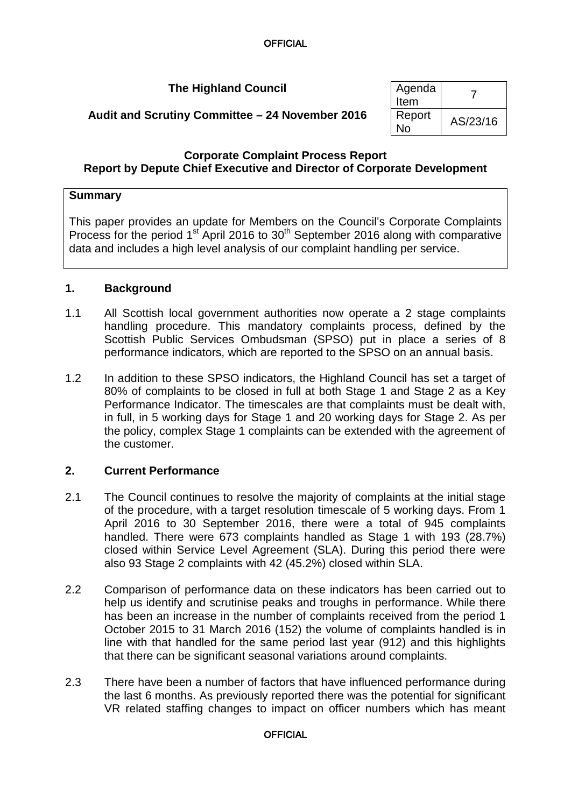# **The Highland Council** Agenda

|            | $1.9$ criua<br>Item |          |
|------------|---------------------|----------|
| ember 2016 | Report<br>No        | AS/23/16 |

# **Audit and Scrutiny Committee – 24 Nove**

### **Corporate Complaint Process Report Report by Depute Chief Executive and Director of Corporate Development**

## **Summary**

This paper provides an update for Members on the Council's Corporate Complaints Process for the period 1<sup>st</sup> April 2016 to 30<sup>th</sup> September 2016 along with comparative data and includes a high level analysis of our complaint handling per service.

## **1. Background**

- 1.1 All Scottish local government authorities now operate a 2 stage complaints handling procedure. This mandatory complaints process, defined by the Scottish Public Services Ombudsman (SPSO) put in place a series of 8 performance indicators, which are reported to the SPSO on an annual basis.
- 1.2 In addition to these SPSO indicators, the Highland Council has set a target of 80% of complaints to be closed in full at both Stage 1 and Stage 2 as a Key Performance Indicator. The timescales are that complaints must be dealt with, in full, in 5 working days for Stage 1 and 20 working days for Stage 2. As per the policy, complex Stage 1 complaints can be extended with the agreement of the customer.

## **2. Current Performance**

- 2.1 The Council continues to resolve the majority of complaints at the initial stage of the procedure, with a target resolution timescale of 5 working days. From 1 April 2016 to 30 September 2016, there were a total of 945 complaints handled. There were 673 complaints handled as Stage 1 with 193 (28.7%) closed within Service Level Agreement (SLA). During this period there were also 93 Stage 2 complaints with 42 (45.2%) closed within SLA.
- 2.2 Comparison of performance data on these indicators has been carried out to help us identify and scrutinise peaks and troughs in performance. While there has been an increase in the number of complaints received from the period 1 October 2015 to 31 March 2016 (152) the volume of complaints handled is in line with that handled for the same period last year (912) and this highlights that there can be significant seasonal variations around complaints.
- 2.3 There have been a number of factors that have influenced performance during the last 6 months. As previously reported there was the potential for significant VR related staffing changes to impact on officer numbers which has meant

#### **OFFICIAL**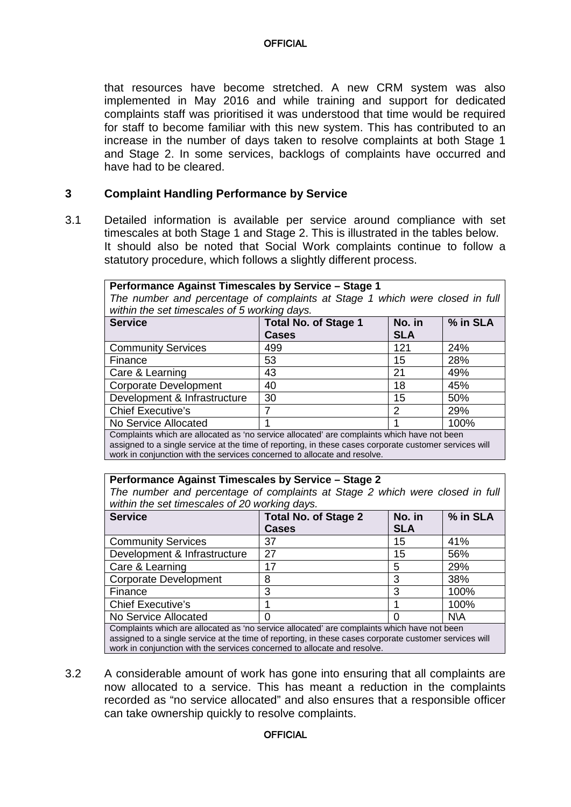that resources have become stretched. A new CRM system was also implemented in May 2016 and while training and support for dedicated complaints staff was prioritised it was understood that time would be required for staff to become familiar with this new system. This has contributed to an increase in the number of days taken to resolve complaints at both Stage 1 and Stage 2. In some services, backlogs of complaints have occurred and have had to be cleared.

### **3 Complaint Handling Performance by Service**

3.1 Detailed information is available per service around compliance with set timescales at both Stage 1 and Stage 2. This is illustrated in the tables below. It should also be noted that Social Work complaints continue to follow a statutory procedure, which follows a slightly different process.

| Performance Against Timescales by Service - Stage 1<br>The number and percentage of complaints at Stage 1 which were closed in full<br>within the set timescales of 5 working days. |                                             |                      |          |  |
|-------------------------------------------------------------------------------------------------------------------------------------------------------------------------------------|---------------------------------------------|----------------------|----------|--|
| <b>Service</b>                                                                                                                                                                      | <b>Total No. of Stage 1</b><br><b>Cases</b> | No. in<br><b>SLA</b> | % in SLA |  |
| <b>Community Services</b>                                                                                                                                                           | 499                                         | 121                  | 24%      |  |
| Finance                                                                                                                                                                             | 53                                          | 15                   | 28%      |  |
| Care & Learning                                                                                                                                                                     | 43                                          | 21                   | 49%      |  |
| Corporate Development                                                                                                                                                               | 40                                          | 18                   | 45%      |  |

Chief Executive's 7 2 29% No Service Allocated 1 1 100% Complaints which are allocated as 'no service allocated' are complaints which have not been assigned to a single service at the time of reporting, in these cases corporate customer services will work in conjunction with the services concerned to allocate and resolve.

Development & Infrastructure 30 15 15 150%

#### **Performance Against Timescales by Service – Stage 2**

*The number and percentage of complaints at Stage 2 which were closed in full within the set timescales of 20 working days.* 

| <b>Service</b>                                                                                 | <b>Total No. of Stage 2</b> | No. in     | % in SLA   |  |
|------------------------------------------------------------------------------------------------|-----------------------------|------------|------------|--|
|                                                                                                | <b>Cases</b>                | <b>SLA</b> |            |  |
| <b>Community Services</b>                                                                      | 37                          | 15         | 41%        |  |
| Development & Infrastructure                                                                   | 27                          | 15         | 56%        |  |
| Care & Learning                                                                                | 17                          | 5          | 29%        |  |
| <b>Corporate Development</b>                                                                   | 8                           | 3          | 38%        |  |
| Finance                                                                                        | 3                           | 3          | 100%       |  |
| <b>Chief Executive's</b>                                                                       |                             |            | 100%       |  |
| No Service Allocated                                                                           |                             |            | <b>N\A</b> |  |
| Completely which are allocated as free consistent allocated are completely which have not know |                             |            |            |  |

Complaints which are allocated as 'no service allocated' are complaints which have not been assigned to a single service at the time of reporting, in these cases corporate customer services will work in conjunction with the services concerned to allocate and resolve.

3.2 A considerable amount of work has gone into ensuring that all complaints are now allocated to a service. This has meant a reduction in the complaints recorded as "no service allocated" and also ensures that a responsible officer can take ownership quickly to resolve complaints.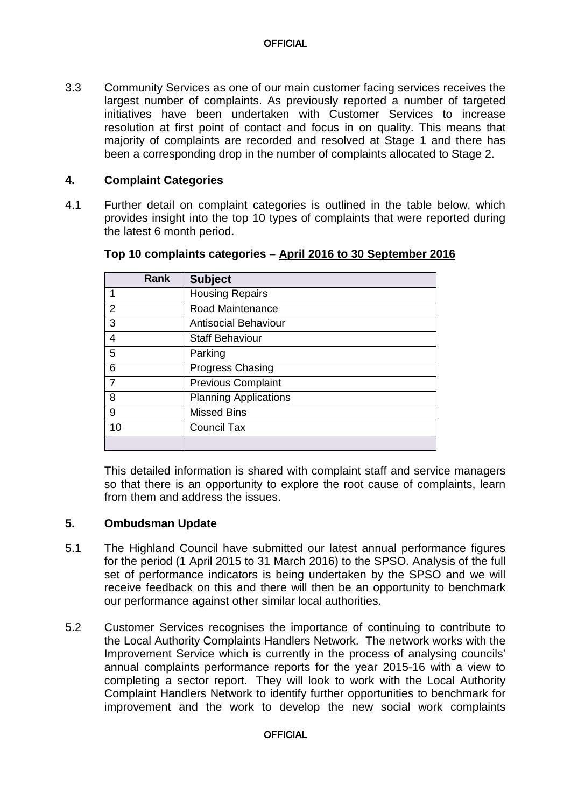3.3 Community Services as one of our main customer facing services receives the largest number of complaints. As previously reported a number of targeted initiatives have been undertaken with Customer Services to increase resolution at first point of contact and focus in on quality. This means that majority of complaints are recorded and resolved at Stage 1 and there has been a corresponding drop in the number of complaints allocated to Stage 2.

### **4. Complaint Categories**

4.1 Further detail on complaint categories is outlined in the table below, which provides insight into the top 10 types of complaints that were reported during the latest 6 month period.

| <b>Rank</b>    | <b>Subject</b>               |
|----------------|------------------------------|
|                | <b>Housing Repairs</b>       |
| $\overline{2}$ | Road Maintenance             |
| 3              | <b>Antisocial Behaviour</b>  |
| 4              | <b>Staff Behaviour</b>       |
| 5              | Parking                      |
| 6              | <b>Progress Chasing</b>      |
| $\overline{7}$ | <b>Previous Complaint</b>    |
| 8              | <b>Planning Applications</b> |
| 9              | <b>Missed Bins</b>           |
| 10             | <b>Council Tax</b>           |
|                |                              |

### **Top 10 complaints categories – April 2016 to 30 September 2016**

This detailed information is shared with complaint staff and service managers so that there is an opportunity to explore the root cause of complaints, learn from them and address the issues.

### **5. Ombudsman Update**

- 5.1 The Highland Council have submitted our latest annual performance figures for the period (1 April 2015 to 31 March 2016) to the SPSO. Analysis of the full set of performance indicators is being undertaken by the SPSO and we will receive feedback on this and there will then be an opportunity to benchmark our performance against other similar local authorities.
- 5.2 Customer Services recognises the importance of continuing to contribute to the Local Authority Complaints Handlers Network. The network works with the Improvement Service which is currently in the process of analysing councils' annual complaints performance reports for the year 2015-16 with a view to completing a sector report. They will look to work with the Local Authority Complaint Handlers Network to identify further opportunities to benchmark for improvement and the work to develop the new social work complaints

#### **OFFICIAL**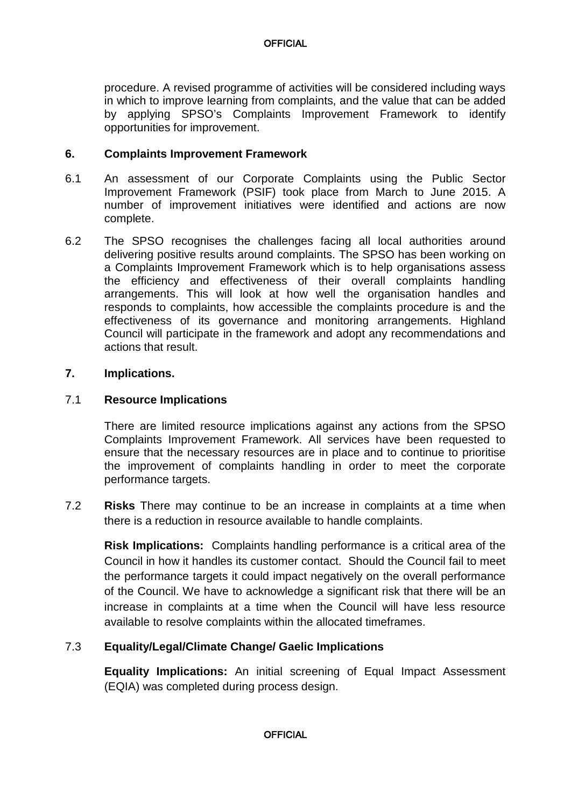procedure. A revised programme of activities will be considered including ways in which to improve learning from complaints, and the value that can be added by applying SPSO's Complaints Improvement Framework to identify opportunities for improvement.

### **6. Complaints Improvement Framework**

- 6.1 An assessment of our Corporate Complaints using the Public Sector Improvement Framework (PSIF) took place from March to June 2015. A number of improvement initiatives were identified and actions are now complete.
- 6.2 The SPSO recognises the challenges facing all local authorities around delivering positive results around complaints. The SPSO has been working on a Complaints Improvement Framework which is to help organisations assess the efficiency and effectiveness of their overall complaints handling arrangements. This will look at how well the organisation handles and responds to complaints, how accessible the complaints procedure is and the effectiveness of its governance and monitoring arrangements. Highland Council will participate in the framework and adopt any recommendations and actions that result.

### **7. Implications.**

### 7.1 **Resource Implications**

There are limited resource implications against any actions from the SPSO Complaints Improvement Framework. All services have been requested to ensure that the necessary resources are in place and to continue to prioritise the improvement of complaints handling in order to meet the corporate performance targets.

7.2 **Risks** There may continue to be an increase in complaints at a time when there is a reduction in resource available to handle complaints.

**Risk Implications:** Complaints handling performance is a critical area of the Council in how it handles its customer contact. Should the Council fail to meet the performance targets it could impact negatively on the overall performance of the Council. We have to acknowledge a significant risk that there will be an increase in complaints at a time when the Council will have less resource available to resolve complaints within the allocated timeframes.

## 7.3 **Equality/Legal/Climate Change/ Gaelic Implications**

**Equality Implications:** An initial screening of Equal Impact Assessment (EQIA) was completed during process design.